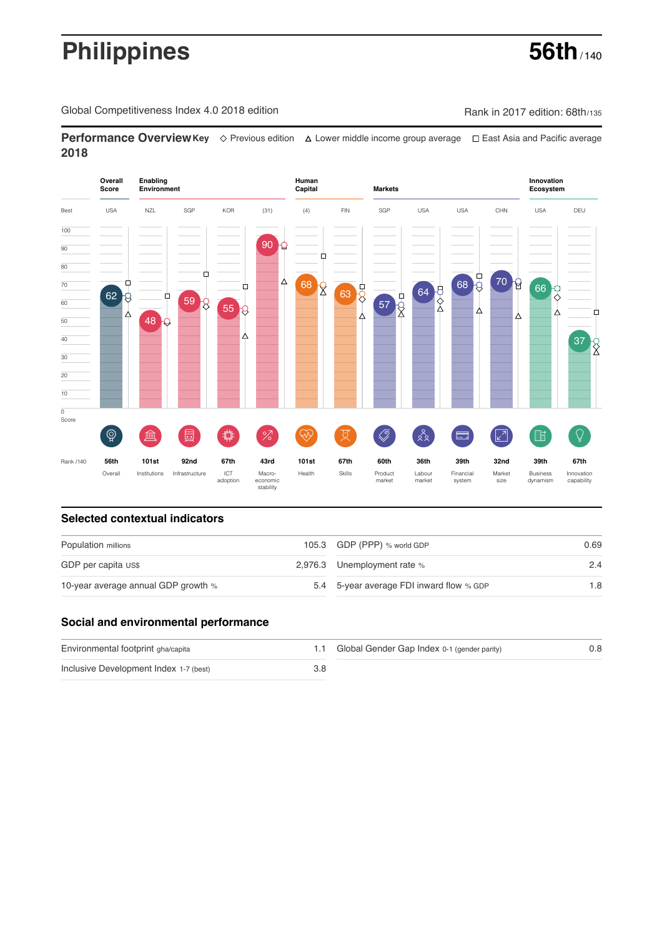# **Philippines** 56th<sub>/140</sub>

Global Competitiveness Index 4.0 2018 edition Company Rank in 2017 edition: 68th/135

**Performance OverviewKey** Previous edition Lower middle income group average East Asia and Pacific average **2018**



### **Selected contextual indicators**

| Population millions                 | 105.3 GDP (PPP) % world GDP              | 0.69 |  |
|-------------------------------------|------------------------------------------|------|--|
| GDP per capita US\$                 | 2,976.3 Unemployment rate %              | 2.4  |  |
| 10-year average annual GDP growth % | 5.4 5-year average FDI inward flow % GDP | 1.8  |  |

#### **Social and environmental performance**

| Environmental footprint gha/capita     |     | 1.1 Global Gender Gap Index 0-1 (gender parity) | 0.8 |
|----------------------------------------|-----|-------------------------------------------------|-----|
| Inclusive Development Index 1-7 (best) | 3.8 |                                                 |     |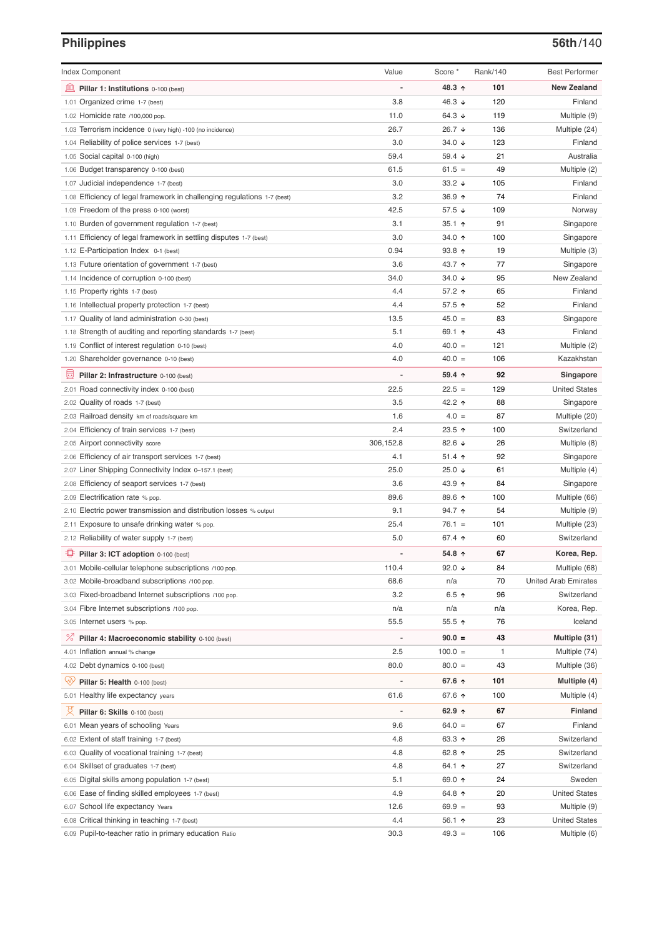# **Philippines 56th**/140

| <b>Index Component</b>                                                   | Value                    | Score *         | Rank/140 | <b>Best Performer</b>       |
|--------------------------------------------------------------------------|--------------------------|-----------------|----------|-----------------------------|
| 寙<br>Pillar 1: Institutions 0-100 (best)                                 |                          | 48.3 ↑          | 101      | <b>New Zealand</b>          |
| 1.01 Organized crime 1-7 (best)                                          | 3.8                      | 46.3 $\sqrt{ }$ | 120      | Finland                     |
| 1.02 Homicide rate /100,000 pop.                                         | 11.0                     | 64.3 ↓          | 119      | Multiple (9)                |
| 1.03 Terrorism incidence 0 (very high) -100 (no incidence)               | 26.7                     | 26.7 ↓          | 136      | Multiple (24)               |
| 1.04 Reliability of police services 1-7 (best)                           | 3.0                      | 34.0 $\sqrt{ }$ | 123      | Finland                     |
| 1.05 Social capital 0-100 (high)                                         | 59.4                     | 59.4 $\sqrt{ }$ | 21       | Australia                   |
| 1.06 Budget transparency 0-100 (best)                                    | 61.5                     | $61.5 =$        | 49       | Multiple (2)                |
| 1.07 Judicial independence 1-7 (best)                                    | 3.0                      | 33.2 $\sqrt{ }$ | 105      | Finland                     |
| 1.08 Efficiency of legal framework in challenging regulations 1-7 (best) | 3.2                      | 36.9 ↑          | 74       | Finland                     |
| 1.09 Freedom of the press 0-100 (worst)                                  | 42.5                     | 57.5 $\sqrt{ }$ | 109      | Norway                      |
| 1.10 Burden of government regulation 1-7 (best)                          | 3.1                      | $35.1$ 1        | 91       | Singapore                   |
| 1.11 Efficiency of legal framework in settling disputes 1-7 (best)       | 3.0                      | 34.0 ↑          | 100      | Singapore                   |
| 1.12 E-Participation Index 0-1 (best)                                    | 0.94                     | $93.8$ 1        | 19       | Multiple (3)                |
| 1.13 Future orientation of government 1-7 (best)                         | 3.6                      | 43.7 ↑          | 77       | Singapore                   |
| 1.14 Incidence of corruption 0-100 (best)                                | 34.0                     | 34.0 $\sqrt{ }$ | 95       | New Zealand                 |
| 1.15 Property rights 1-7 (best)                                          | 4.4                      | 57.2 ↑          | 65       | Finland                     |
| 1.16 Intellectual property protection 1-7 (best)                         | 4.4                      | 57.5 ↑          | 52       | Finland                     |
| 1.17 Quality of land administration 0-30 (best)                          | 13.5                     | $45.0 =$        | 83       | Singapore                   |
|                                                                          | 5.1                      | 69.1 ↑          | 43       | Finland                     |
| 1.18 Strength of auditing and reporting standards 1-7 (best)             | 4.0                      |                 | 121      |                             |
| 1.19 Conflict of interest regulation 0-10 (best)                         | 4.0                      | $40.0 =$        | 106      | Multiple (2)<br>Kazakhstan  |
| 1.20 Shareholder governance 0-10 (best)                                  |                          | $40.0 =$        |          |                             |
| 圓<br>Pillar 2: Infrastructure 0-100 (best)                               |                          | $59.4$ 1        | 92       | Singapore                   |
| 2.01 Road connectivity index 0-100 (best)                                | 22.5                     | $22.5 =$        | 129      | <b>United States</b>        |
| 2.02 Quality of roads 1-7 (best)                                         | 3.5                      | 42.2 ↑          | 88       | Singapore                   |
| 2.03 Railroad density km of roads/square km                              | 1.6                      | $4.0 =$         | 87       | Multiple (20)               |
| 2.04 Efficiency of train services 1-7 (best)                             | 2.4                      | $23.5$ 1        | 100      | Switzerland                 |
| 2.05 Airport connectivity score                                          | 306,152.8                | 82.6 ↓          | 26       | Multiple (8)                |
| 2.06 Efficiency of air transport services 1-7 (best)                     | 4.1                      | $51.4$ ↑        | 92       | Singapore                   |
| 2.07 Liner Shipping Connectivity Index 0-157.1 (best)                    | 25.0                     | 25.0 $\sqrt{ }$ | 61       | Multiple (4)                |
| 2.08 Efficiency of seaport services 1-7 (best)                           | 3.6                      | 43.9 ↑          | 84       | Singapore                   |
| 2.09 Electrification rate % pop.                                         | 89.6                     | 89.6 ↑          | 100      | Multiple (66)               |
| 2.10 Electric power transmission and distribution losses % output        | 9.1                      | 94.7 ↑          | 54       | Multiple (9)                |
| 2.11 Exposure to unsafe drinking water % pop.                            | 25.4                     | $76.1 =$        | 101      | Multiple (23)               |
| 2.12 Reliability of water supply 1-7 (best)                              | 5.0                      | 67.4 ↑          | 60       | Switzerland                 |
| 尊<br>Pillar 3: ICT adoption 0-100 (best)                                 |                          | 54.8 ↑          | 67       | Korea, Rep.                 |
| 3.01 Mobile-cellular telephone subscriptions /100 pop.                   | 110.4                    | 92.0 $\sqrt{ }$ | 84       | Multiple (68)               |
| 3.02 Mobile-broadband subscriptions /100 pop.                            | 68.6                     | n/a             | 70       | <b>United Arab Emirates</b> |
| 3.03 Fixed-broadband Internet subscriptions /100 pop.                    | 3.2                      | 6.5 $\uparrow$  | 96       | Switzerland                 |
| 3.04 Fibre Internet subscriptions /100 pop.                              | n/a                      | n/a             | n/a      | Korea, Rep.                 |
| 3.05 Internet users % pop.                                               | 55.5                     | $55.5$ ↑        | 76       | Iceland                     |
| ℅<br>Pillar 4: Macroeconomic stability 0-100 (best)                      |                          | $90.0 =$        | 43       | Multiple (31)               |
| 4.01 Inflation annual % change                                           | 2.5                      | $100.0 =$       | 1        | Multiple (74)               |
| 4.02 Debt dynamics 0-100 (best)                                          | 80.0                     | $80.0 =$        | 43       | Multiple (36)               |
| ųÿ<br>Pillar 5: Health 0-100 (best)                                      | $\overline{\phantom{0}}$ | 67.6 ↑          | 101      | Multiple (4)                |
| 5.01 Healthy life expectancy years                                       | 61.6                     | 67.6 ↑          | 100      | Multiple (4)                |
| 섯<br>Pillar 6: Skills 0-100 (best)                                       | $\overline{\phantom{0}}$ | 62.9 $\uparrow$ | 67       | Finland                     |
| 6.01 Mean years of schooling Years                                       | 9.6                      | $64.0 =$        | 67       | Finland                     |
| 6.02 Extent of staff training 1-7 (best)                                 | 4.8                      | 63.3 $\uparrow$ | 26       | Switzerland                 |
| 6.03 Quality of vocational training 1-7 (best)                           | 4.8                      | 62.8 $\uparrow$ | 25       | Switzerland                 |
| 6.04 Skillset of graduates 1-7 (best)                                    | 4.8                      | 64.1 ↑          | 27       | Switzerland                 |
| 6.05 Digital skills among population 1-7 (best)                          | 5.1                      | 69.0 ↑          | 24       | Sweden                      |
| 6.06 Ease of finding skilled employees 1-7 (best)                        | 4.9                      | 64.8 ↑          | 20       | <b>United States</b>        |
| 6.07 School life expectancy Years                                        | 12.6                     | $69.9 =$        | 93       | Multiple (9)                |
| 6.08 Critical thinking in teaching 1-7 (best)                            | 4.4                      | 56.1 $\uparrow$ | 23       | <b>United States</b>        |
| 6.09 Pupil-to-teacher ratio in primary education Ratio                   | 30.3                     | $49.3 =$        | 106      | Multiple (6)                |